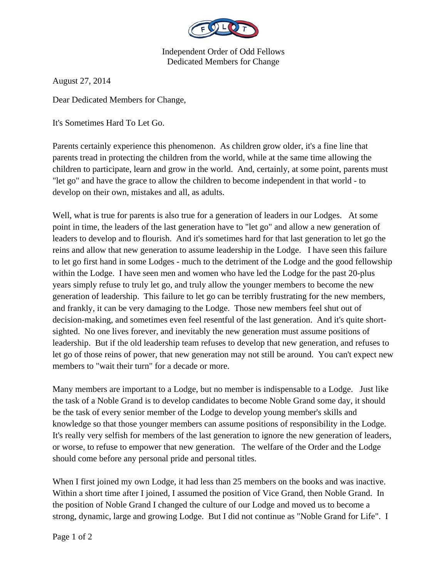

Independent Order of Odd Fellows Dedicated Members for Change

August 27, 2014

Dear Dedicated Members for Change,

It's Sometimes Hard To Let Go.

Parents certainly experience this phenomenon. As children grow older, it's a fine line that parents tread in protecting the children from the world, while at the same time allowing the children to participate, learn and grow in the world. And, certainly, at some point, parents must "let go" and have the grace to allow the children to become independent in that world - to develop on their own, mistakes and all, as adults.

Well, what is true for parents is also true for a generation of leaders in our Lodges. At some point in time, the leaders of the last generation have to "let go" and allow a new generation of leaders to develop and to flourish. And it's sometimes hard for that last generation to let go the reins and allow that new generation to assume leadership in the Lodge. I have seen this failure to let go first hand in some Lodges - much to the detriment of the Lodge and the good fellowship within the Lodge. I have seen men and women who have led the Lodge for the past 20-plus years simply refuse to truly let go, and truly allow the younger members to become the new generation of leadership. This failure to let go can be terribly frustrating for the new members, and frankly, it can be very damaging to the Lodge. Those new members feel shut out of decision-making, and sometimes even feel resentful of the last generation. And it's quite shortsighted. No one lives forever, and inevitably the new generation must assume positions of leadership. But if the old leadership team refuses to develop that new generation, and refuses to let go of those reins of power, that new generation may not still be around. You can't expect new members to "wait their turn" for a decade or more.

Many members are important to a Lodge, but no member is indispensable to a Lodge. Just like the task of a Noble Grand is to develop candidates to become Noble Grand some day, it should be the task of every senior member of the Lodge to develop young member's skills and knowledge so that those younger members can assume positions of responsibility in the Lodge. It's really very selfish for members of the last generation to ignore the new generation of leaders, or worse, to refuse to empower that new generation. The welfare of the Order and the Lodge should come before any personal pride and personal titles.

When I first joined my own Lodge, it had less than 25 members on the books and was inactive. Within a short time after I joined, I assumed the position of Vice Grand, then Noble Grand. In the position of Noble Grand I changed the culture of our Lodge and moved us to become a strong, dynamic, large and growing Lodge. But I did not continue as "Noble Grand for Life". I